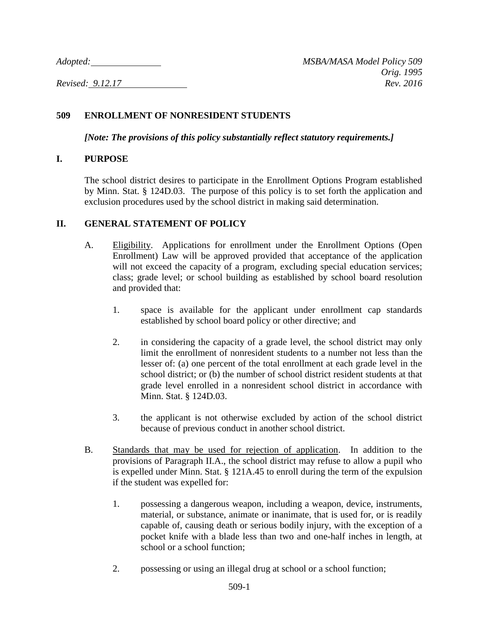*Adopted: MSBA/MASA Model Policy 509*

*Revised: 9.12.17 Rev. 2016*

## **509 ENROLLMENT OF NONRESIDENT STUDENTS**

*[Note: The provisions of this policy substantially reflect statutory requirements.]*

## **I. PURPOSE**

The school district desires to participate in the Enrollment Options Program established by Minn. Stat. § 124D.03. The purpose of this policy is to set forth the application and exclusion procedures used by the school district in making said determination.

## **II. GENERAL STATEMENT OF POLICY**

- A. Eligibility. Applications for enrollment under the Enrollment Options (Open Enrollment) Law will be approved provided that acceptance of the application will not exceed the capacity of a program, excluding special education services; class; grade level; or school building as established by school board resolution and provided that:
	- 1. space is available for the applicant under enrollment cap standards established by school board policy or other directive; and
	- 2. in considering the capacity of a grade level, the school district may only limit the enrollment of nonresident students to a number not less than the lesser of: (a) one percent of the total enrollment at each grade level in the school district; or (b) the number of school district resident students at that grade level enrolled in a nonresident school district in accordance with Minn. Stat. § 124D.03.
	- 3. the applicant is not otherwise excluded by action of the school district because of previous conduct in another school district.
- B. Standards that may be used for rejection of application. In addition to the provisions of Paragraph II.A., the school district may refuse to allow a pupil who is expelled under Minn. Stat. § 121A.45 to enroll during the term of the expulsion if the student was expelled for:
	- 1. possessing a dangerous weapon, including a weapon, device, instruments, material, or substance, animate or inanimate, that is used for, or is readily capable of, causing death or serious bodily injury, with the exception of a pocket knife with a blade less than two and one-half inches in length, at school or a school function;
	- 2. possessing or using an illegal drug at school or a school function;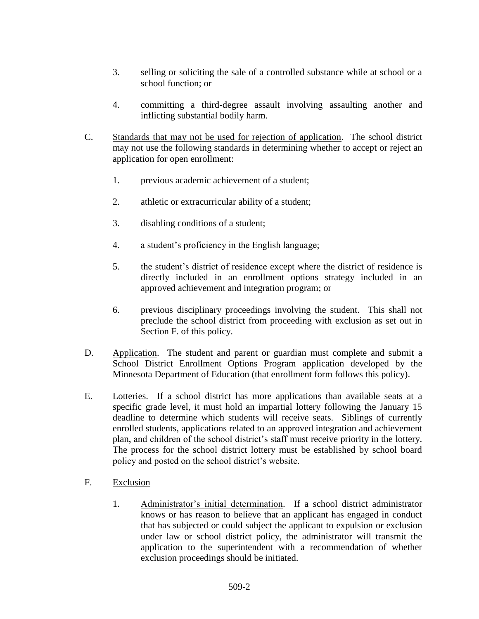- 3. selling or soliciting the sale of a controlled substance while at school or a school function; or
- 4. committing a third-degree assault involving assaulting another and inflicting substantial bodily harm.
- C. Standards that may not be used for rejection of application. The school district may not use the following standards in determining whether to accept or reject an application for open enrollment:
	- 1. previous academic achievement of a student;
	- 2. athletic or extracurricular ability of a student;
	- 3. disabling conditions of a student;
	- 4. a student's proficiency in the English language;
	- 5. the student's district of residence except where the district of residence is directly included in an enrollment options strategy included in an approved achievement and integration program; or
	- 6. previous disciplinary proceedings involving the student. This shall not preclude the school district from proceeding with exclusion as set out in Section F. of this policy.
- D. Application. The student and parent or guardian must complete and submit a School District Enrollment Options Program application developed by the Minnesota Department of Education (that enrollment form follows this policy).
- E. Lotteries. If a school district has more applications than available seats at a specific grade level, it must hold an impartial lottery following the January 15 deadline to determine which students will receive seats. Siblings of currently enrolled students, applications related to an approved integration and achievement plan, and children of the school district's staff must receive priority in the lottery. The process for the school district lottery must be established by school board policy and posted on the school district's website.
- F. Exclusion
	- 1. Administrator's initial determination. If a school district administrator knows or has reason to believe that an applicant has engaged in conduct that has subjected or could subject the applicant to expulsion or exclusion under law or school district policy, the administrator will transmit the application to the superintendent with a recommendation of whether exclusion proceedings should be initiated.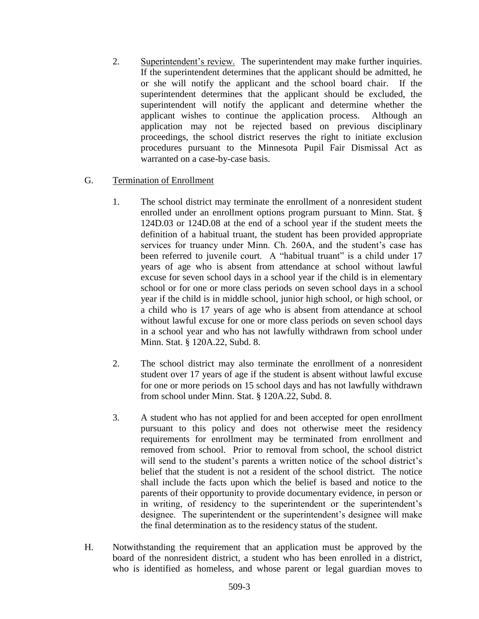2. Superintendent's review. The superintendent may make further inquiries. If the superintendent determines that the applicant should be admitted, he or she will notify the applicant and the school board chair. If the superintendent determines that the applicant should be excluded, the superintendent will notify the applicant and determine whether the applicant wishes to continue the application process. Although an application may not be rejected based on previous disciplinary proceedings, the school district reserves the right to initiate exclusion procedures pursuant to the Minnesota Pupil Fair Dismissal Act as warranted on a case-by-case basis.

## G. Termination of Enrollment

- 1. The school district may terminate the enrollment of a nonresident student enrolled under an enrollment options program pursuant to Minn. Stat. § 124D.03 or 124D.08 at the end of a school year if the student meets the definition of a habitual truant, the student has been provided appropriate services for truancy under Minn. Ch. 260A, and the student's case has been referred to juvenile court. A "habitual truant" is a child under 17 years of age who is absent from attendance at school without lawful excuse for seven school days in a school year if the child is in elementary school or for one or more class periods on seven school days in a school year if the child is in middle school, junior high school, or high school, or a child who is 17 years of age who is absent from attendance at school without lawful excuse for one or more class periods on seven school days in a school year and who has not lawfully withdrawn from school under Minn. Stat. § 120A.22, Subd. 8.
- 2. The school district may also terminate the enrollment of a nonresident student over 17 years of age if the student is absent without lawful excuse for one or more periods on 15 school days and has not lawfully withdrawn from school under Minn. Stat. § 120A.22, Subd. 8.
- 3. A student who has not applied for and been accepted for open enrollment pursuant to this policy and does not otherwise meet the residency requirements for enrollment may be terminated from enrollment and removed from school. Prior to removal from school, the school district will send to the student's parents a written notice of the school district's belief that the student is not a resident of the school district. The notice shall include the facts upon which the belief is based and notice to the parents of their opportunity to provide documentary evidence, in person or in writing, of residency to the superintendent or the superintendent's designee. The superintendent or the superintendent's designee will make the final determination as to the residency status of the student.
- H. Notwithstanding the requirement that an application must be approved by the board of the nonresident district, a student who has been enrolled in a district, who is identified as homeless, and whose parent or legal guardian moves to